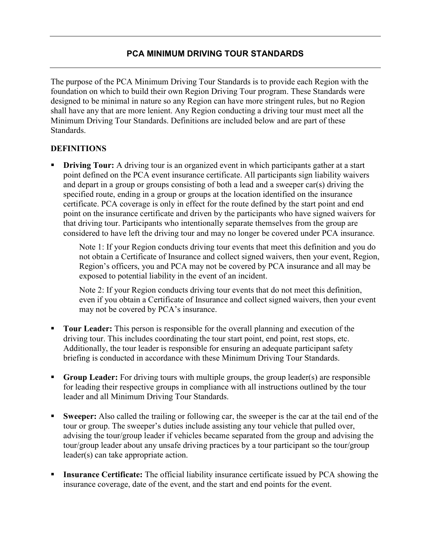# PCA MINIMUM DRIVING TOUR STANDARDS

The purpose of the PCA Minimum Driving Tour Standards is to provide each Region with the foundation on which to build their own Region Driving Tour program. These Standards were designed to be minimal in nature so any Region can have more stringent rules, but no Region shall have any that are more lenient. Any Region conducting a driving tour must meet all the Minimum Driving Tour Standards. Definitions are included below and are part of these Standards.

#### DEFINITIONS

 Driving Tour: A driving tour is an organized event in which participants gather at a start point defined on the PCA event insurance certificate. All participants sign liability waivers and depart in a group or groups consisting of both a lead and a sweeper car(s) driving the specified route, ending in a group or groups at the location identified on the insurance certificate. PCA coverage is only in effect for the route defined by the start point and end point on the insurance certificate and driven by the participants who have signed waivers for that driving tour. Participants who intentionally separate themselves from the group are considered to have left the driving tour and may no longer be covered under PCA insurance.

Note 1: If your Region conducts driving tour events that meet this definition and you do not obtain a Certificate of Insurance and collect signed waivers, then your event, Region, Region's officers, you and PCA may not be covered by PCA insurance and all may be exposed to potential liability in the event of an incident.

Note 2: If your Region conducts driving tour events that do not meet this definition, even if you obtain a Certificate of Insurance and collect signed waivers, then your event may not be covered by PCA's insurance.

- Tour Leader: This person is responsible for the overall planning and execution of the driving tour. This includes coordinating the tour start point, end point, rest stops, etc. Additionally, the tour leader is responsible for ensuring an adequate participant safety briefing is conducted in accordance with these Minimum Driving Tour Standards.
- Group Leader: For driving tours with multiple groups, the group leader(s) are responsible for leading their respective groups in compliance with all instructions outlined by the tour leader and all Minimum Driving Tour Standards.
- Sweeper: Also called the trailing or following car, the sweeper is the car at the tail end of the tour or group. The sweeper's duties include assisting any tour vehicle that pulled over, advising the tour/group leader if vehicles became separated from the group and advising the tour/group leader about any unsafe driving practices by a tour participant so the tour/group leader(s) can take appropriate action.
- Insurance Certificate: The official liability insurance certificate issued by PCA showing the insurance coverage, date of the event, and the start and end points for the event.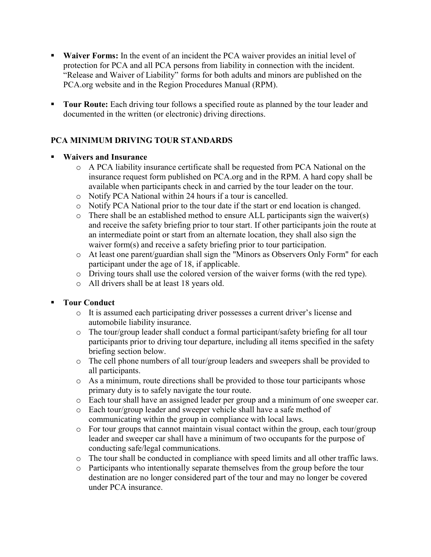- **Waiver Forms:** In the event of an incident the PCA waiver provides an initial level of protection for PCA and all PCA persons from liability in connection with the incident. "Release and Waiver of Liability" forms for both adults and minors are published on the PCA.org website and in the Region Procedures Manual (RPM).
- Tour Route: Each driving tour follows a specified route as planned by the tour leader and documented in the written (or electronic) driving directions.

# PCA MINIMUM DRIVING TOUR STANDARDS

#### Waivers and Insurance

- o A PCA liability insurance certificate shall be requested from PCA National on the insurance request form published on PCA.org and in the RPM. A hard copy shall be available when participants check in and carried by the tour leader on the tour.
- o Notify PCA National within 24 hours if a tour is cancelled.
- o Notify PCA National prior to the tour date if the start or end location is changed.
- o There shall be an established method to ensure ALL participants sign the waiver(s) and receive the safety briefing prior to tour start. If other participants join the route at an intermediate point or start from an alternate location, they shall also sign the waiver form(s) and receive a safety briefing prior to tour participation.
- o At least one parent/guardian shall sign the "Minors as Observers Only Form" for each participant under the age of 18, if applicable.
- o Driving tours shall use the colored version of the waiver forms (with the red type).
- o All drivers shall be at least 18 years old.

## Tour Conduct

- o It is assumed each participating driver possesses a current driver's license and automobile liability insurance.
- $\circ$  The tour/group leader shall conduct a formal participant/safety briefing for all tour participants prior to driving tour departure, including all items specified in the safety briefing section below.
- o The cell phone numbers of all tour/group leaders and sweepers shall be provided to all participants.
- o As a minimum, route directions shall be provided to those tour participants whose primary duty is to safely navigate the tour route.
- o Each tour shall have an assigned leader per group and a minimum of one sweeper car.
- o Each tour/group leader and sweeper vehicle shall have a safe method of communicating within the group in compliance with local laws.
- o For tour groups that cannot maintain visual contact within the group, each tour/group leader and sweeper car shall have a minimum of two occupants for the purpose of conducting safe/legal communications.
- o The tour shall be conducted in compliance with speed limits and all other traffic laws.
- o Participants who intentionally separate themselves from the group before the tour destination are no longer considered part of the tour and may no longer be covered under PCA insurance.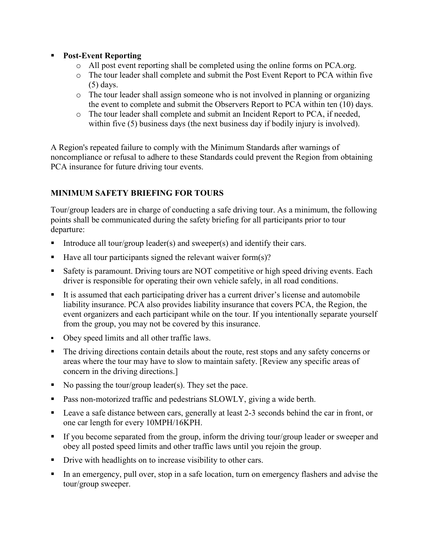## **Post-Event Reporting**

- o All post event reporting shall be completed using the online forms on PCA.org.
- o The tour leader shall complete and submit the Post Event Report to PCA within five (5) days.
- $\circ$  The tour leader shall assign someone who is not involved in planning or organizing the event to complete and submit the Observers Report to PCA within ten (10) days.
- o The tour leader shall complete and submit an Incident Report to PCA, if needed, within five (5) business days (the next business day if bodily injury is involved).

A Region's repeated failure to comply with the Minimum Standards after warnings of noncompliance or refusal to adhere to these Standards could prevent the Region from obtaining PCA insurance for future driving tour events.

# MINIMUM SAFETY BRIEFING FOR TOURS

Tour/group leaders are in charge of conducting a safe driving tour. As a minimum, the following points shall be communicated during the safety briefing for all participants prior to tour departure:

- Introduce all tour/group leader(s) and sweeper(s) and identify their cars.
- Have all tour participants signed the relevant waiver form $(s)$ ?
- Safety is paramount. Driving tours are NOT competitive or high speed driving events. Each driver is responsible for operating their own vehicle safely, in all road conditions.
- It is assumed that each participating driver has a current driver's license and automobile liability insurance. PCA also provides liability insurance that covers PCA, the Region, the event organizers and each participant while on the tour. If you intentionally separate yourself from the group, you may not be covered by this insurance.
- Obey speed limits and all other traffic laws.
- The driving directions contain details about the route, rest stops and any safety concerns or areas where the tour may have to slow to maintain safety. [Review any specific areas of concern in the driving directions.]
- No passing the tour/group leader(s). They set the pace.
- Pass non-motorized traffic and pedestrians SLOWLY, giving a wide berth.
- Leave a safe distance between cars, generally at least 2-3 seconds behind the car in front, or one car length for every 10MPH/16KPH.
- If you become separated from the group, inform the driving tour/group leader or sweeper and obey all posted speed limits and other traffic laws until you rejoin the group.
- **•** Drive with headlights on to increase visibility to other cars.
- In an emergency, pull over, stop in a safe location, turn on emergency flashers and advise the tour/group sweeper.